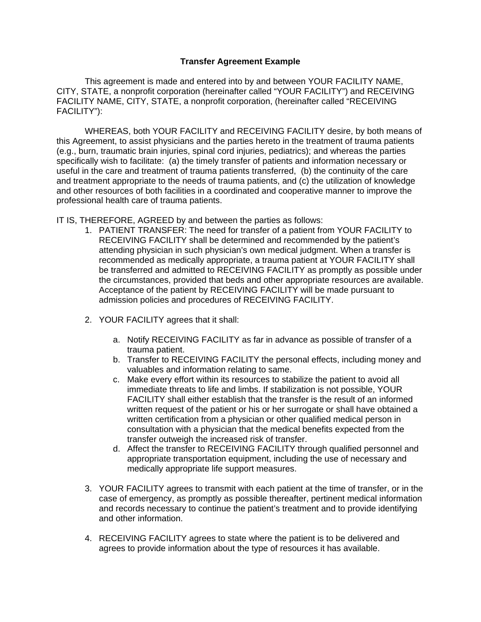## **Transfer Agreement Example**

This agreement is made and entered into by and between YOUR FACILITY NAME, CITY, STATE, a nonprofit corporation (hereinafter called "YOUR FACILITY") and RECEIVING FACILITY NAME, CITY, STATE, a nonprofit corporation, (hereinafter called "RECEIVING FACILITY"):

WHEREAS, both YOUR FACILITY and RECEIVING FACILITY desire, by both means of this Agreement, to assist physicians and the parties hereto in the treatment of trauma patients (e.g., burn, traumatic brain injuries, spinal cord injuries, pediatrics); and whereas the parties specifically wish to facilitate: (a) the timely transfer of patients and information necessary or useful in the care and treatment of trauma patients transferred, (b) the continuity of the care and treatment appropriate to the needs of trauma patients, and (c) the utilization of knowledge and other resources of both facilities in a coordinated and cooperative manner to improve the professional health care of trauma patients.

IT IS, THEREFORE, AGREED by and between the parties as follows:

- 1. PATIENT TRANSFER: The need for transfer of a patient from YOUR FACILITY to RECEIVING FACILITY shall be determined and recommended by the patient's attending physician in such physician's own medical judgment. When a transfer is recommended as medically appropriate, a trauma patient at YOUR FACILITY shall be transferred and admitted to RECEIVING FACILITY as promptly as possible under the circumstances, provided that beds and other appropriate resources are available. Acceptance of the patient by RECEIVING FACILITY will be made pursuant to admission policies and procedures of RECEIVING FACILITY.
- 2. YOUR FACILITY agrees that it shall:
	- a. Notify RECEIVING FACILITY as far in advance as possible of transfer of a trauma patient.
	- b. Transfer to RECEIVING FACILITY the personal effects, including money and valuables and information relating to same.
	- c. Make every effort within its resources to stabilize the patient to avoid all immediate threats to life and limbs. If stabilization is not possible, YOUR FACILITY shall either establish that the transfer is the result of an informed written request of the patient or his or her surrogate or shall have obtained a written certification from a physician or other qualified medical person in consultation with a physician that the medical benefits expected from the transfer outweigh the increased risk of transfer.
	- d. Affect the transfer to RECEIVING FACILITY through qualified personnel and appropriate transportation equipment, including the use of necessary and medically appropriate life support measures.
- 3. YOUR FACILITY agrees to transmit with each patient at the time of transfer, or in the case of emergency, as promptly as possible thereafter, pertinent medical information and records necessary to continue the patient's treatment and to provide identifying and other information.
- 4. RECEIVING FACILITY agrees to state where the patient is to be delivered and agrees to provide information about the type of resources it has available.